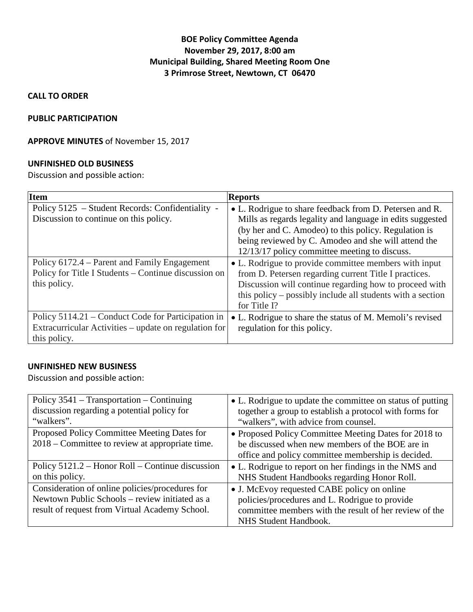## **BOE Policy Committee Agenda November 29, 2017, 8:00 am Municipal Building, Shared Meeting Room One 3 Primrose Street, Newtown, CT 06470**

### **CALL TO ORDER**

### **PUBLIC PARTICIPATION**

### **APPROVE MINUTES** of November 15, 2017

#### **UNFINISHED OLD BUSINESS**

Discussion and possible action:

| <b>Item</b>                                                                                                                 | <b>Reports</b>                                                                                                                                                                                                                                                                       |
|-----------------------------------------------------------------------------------------------------------------------------|--------------------------------------------------------------------------------------------------------------------------------------------------------------------------------------------------------------------------------------------------------------------------------------|
| Policy 5125 – Student Records: Confidentiality -<br>Discussion to continue on this policy.                                  | • L. Rodrigue to share feedback from D. Petersen and R.<br>Mills as regards legality and language in edits suggested<br>(by her and C. Amodeo) to this policy. Regulation is<br>being reviewed by C. Amodeo and she will attend the<br>12/13/17 policy committee meeting to discuss. |
| Policy 6172.4 – Parent and Family Engagement<br>Policy for Title I Students – Continue discussion on<br>this policy.        | • L. Rodrigue to provide committee members with input<br>from D. Petersen regarding current Title I practices.<br>Discussion will continue regarding how to proceed with<br>this policy – possibly include all students with a section<br>for Title I?                               |
| Policy 5114.21 – Conduct Code for Participation in<br>Extracurricular Activities – update on regulation for<br>this policy. | • L. Rodrigue to share the status of M. Memoli's revised<br>regulation for this policy.                                                                                                                                                                                              |

## **UNFINISHED NEW BUSINESS**

Discussion and possible action:

| Policy $3541$ – Transportation – Continuing      | • L. Rodrigue to update the committee on status of putting |
|--------------------------------------------------|------------------------------------------------------------|
| discussion regarding a potential policy for      | together a group to establish a protocol with forms for    |
| "walkers".                                       | "walkers", with advice from counsel.                       |
| Proposed Policy Committee Meeting Dates for      | • Proposed Policy Committee Meeting Dates for 2018 to      |
| 2018 – Committee to review at appropriate time.  | be discussed when new members of the BOE are in            |
|                                                  | office and policy committee membership is decided.         |
| Policy 5121.2 – Honor Roll – Continue discussion | • L. Rodrigue to report on her findings in the NMS and     |
| on this policy.                                  | NHS Student Handbooks regarding Honor Roll.                |
| Consideration of online policies/procedures for  | • J. McEvoy requested CABE policy on online                |
| Newtown Public Schools - review initiated as a   | policies/procedures and L. Rodrigue to provide             |
| result of request from Virtual Academy School.   | committee members with the result of her review of the     |
|                                                  | NHS Student Handbook.                                      |